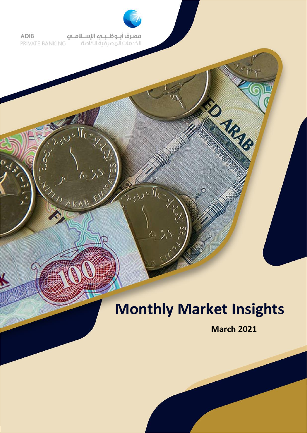

**مصرف أبــوظــبـــهـ الإســلامــهــ**<br>الخدمات المصرفية الخاصة **ADIB** PRIVATE BANKING

 $\Lambda$ 

THE ARA

# **Monthly Market Insights**

**March 2021**

ED MRMB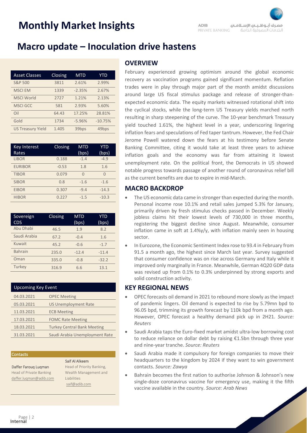### **Macro update – Inoculation drive hastens**

| <b>Asset Classes</b>     | Closing | <b>MTD</b> | YTD               |
|--------------------------|---------|------------|-------------------|
| <b>S&amp;P 500</b>       | 3811    | 2.61%      | 2.99%             |
| <b>MSCI EM</b>           | 1339    | $-2.35%$   | 2.67%             |
| <b>MSCI World</b>        | 2727    | 1.21%      | 2.13%             |
| <b>MSCI GCC</b>          | 581     | 2.93%      | 5.60%             |
| O <sub>1</sub>           | 64.43   | 17.25%     | 28.81%            |
| Gold                     | 1734    | $-5.96%$   | $-10.75%$         |
| <b>US Treasury Yield</b> | 1.405   | 39bps      | 49 <sub>bps</sub> |

| <b>Key Interest</b><br>Rates | Closing | <b>MTD</b><br>(bps) | YTD<br>(bps) |
|------------------------------|---------|---------------------|--------------|
| <b>LIBOR</b>                 | 0.188   | $-1.4$              | $-4.9$       |
| <b>EURIBOR</b>               | $-0.53$ | 1.8                 | 1.6          |
| <b>TIBOR</b>                 | 0.079   | U                   | $\cap$       |
| <b>SIBOR</b>                 | 0.8     | $-1.6$              | $-1.6$       |
| <b>EIBOR</b>                 | 0.307   | $-9.4$              | $-14.3$      |
| <b>HIBOR</b>                 | 0.227   | $-1.5$              | $-10.3$      |

| Sovereign<br>CDS | Closing | <b>MTD</b><br>(bps) | <b>YTD</b><br>(bps) |
|------------------|---------|---------------------|---------------------|
| Abu Dhabi        | 46.5    | 1.9                 | 8.2                 |
| Saudi Arabia     | 67.2    | $-0.4$              | 1.6                 |
| Kuwait           | 45.2    | $-0.6$              | $-1.7$              |
| <b>Bahrain</b>   | 235.0   | $-12.4$             | $-11.4$             |
| Oman             | 335.0   | $-0.8$              | $-32.2$             |
| Turkey           | 316.9   | 6.6                 | 13.1                |

| <b>Upcoming Key Event</b> |                                    |  |  |  |  |
|---------------------------|------------------------------------|--|--|--|--|
| 04.03.2021                | <b>OPEC Meeting</b>                |  |  |  |  |
| 05.03.2021                | <b>US Unemployment Rate</b>        |  |  |  |  |
| 11.03.2021                | <b>ECB Meeting</b>                 |  |  |  |  |
| 17.03.2021                | <b>FOMC Rate Meeting</b>           |  |  |  |  |
| 18.03.2021                | <b>Turkey Central Bank Meeting</b> |  |  |  |  |
| 31.03.2021                | Saudi Arabia Unemployment Rate     |  |  |  |  |

#### Contacts

Daffer Farouq Luqman Head of Private Banking [daffer.luqman@adib.com](mailto:daffer.luqman@adib.com)

#### Saif Al Alkeem

Head of Priority Banking, Wealth Management and Liabilities [saif@adib.com](mailto:saif@adib.com)

### conomic and political uncertainties **OVERVIEW**

February experienced growing optimism around the global economic recovery as vaccination programs gained significant momentum. Reflation trades were in play through major part of the month amidst discussions around large US fiscal stimulus package and release of stronger-thanexpected economic data. The equity markets witnessed rotational shift into the cyclical stocks, while the long-term US Treasury yields marched north resulting in sharp steepening of the curve. The 10-year benchmark Treasury yield touched 1.61%, the highest level in a year, underscoring lingering inflation fears and speculations of Fed taper tantrum. However, the Fed Chair Jerome Powell watered down the fears at his testimony before Senate Banking Committee, citing it would take at least three years to achieve inflation goals and the economy was far from attaining it lowest unemployment rate. On the political front, the Democrats in US showed notable progress towards passage of another round of coronavirus relief bill as the current benefits are due to expire in mid-March.

#### **MACRO BACKDROP**

- The US economic data came in stronger than expected during the month. Personal income rose 10.1% and retail sales jumped 5.3% for January, primarily driven by fresh stimulus checks passed in December. Weekly jobless claims hit their lowest levels of 730,000 in three months, registering the biggest decline since August. Meanwhile, consumer inflation came in soft at 1.4%y/y, with inflation mainly seen in housing sector.
- In Eurozone, the Economic Sentiment Index rose to 93.4 in February from 91.5 a month ago, the highest since March last year. Survey suggested that consumer confidence was on rise across Germany and Italy while it improved only marginally in France. Meanwhile, German 4Q20 GDP data was revised up from 0.1% to 0.3% underpinned by strong exports and solid construction activity.

#### **KEY REGIONAL NEWS**

- OPEC forecasts oil demand in 2021 to rebound more slowly as the impact of pandemic lingers. Oil demand is expected to rise by 5.79mn bpd to 96.05 bpd, trimming its growth forecast by 110k bpd from a month ago. However, OPEC forecast a healthy demand pick up in 2H21. *Source: [Reuters](https://www.reuters.com/article/us-oil-opec-idUSKBN2AB1HR)*
- Saudi Arabia taps the Euro-fixed market amidst ultra-low borrowing cost to reduce reliance on dollar debt by raising €1.5bn through three year and nine-year tranche. *Source: [Reuters](https://www.reuters.com/article/saudi-bonds-int-idUSKBN2AO2E1)*
- Saudi Arabia made it compulsory for foreign companies to move their headquarters to the kingdom by 2024 if they want to win government contacts. *Source: [Zawya](https://www.aljazeera.com/economy/2021/2/16/saudi-arabia-project-hq-stirs-competition-with-dubai)*
- Bahrain becomes the first nation to authorise Johnson & Johnson's new single-doze coronavirus vaccine for emergency use, making it the fifth vaccine available in the country. *Source: [Arab News](https://www.arabnews.com/node/1815821/middle-east)*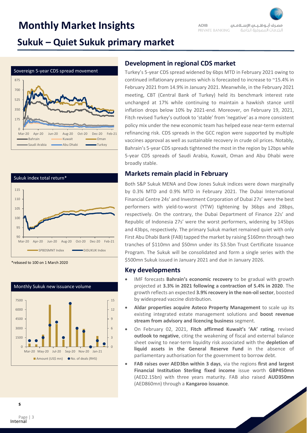#### **ADIR** مصرف أبلوظ بلم الإسلاملم PRIVATE BANKING الخدمات المصرفية الخاصة

### **Sukuk – Quiet Sukuk primary market**





\*rebased to 100 on 1 March 2020



### **Development in regional CDS market**

Turkey's 5-year CDS spread widened by 6bps MTD in February 2021 owing to continued inflationary pressures which is forecasted to increase to ~15.4% in February 2021 from 14.9% in January 2021. Meanwhile, in the February 2021 meeting, CBT (Central Bank of Turkey) held its benchmark interest rate unchanged at 17% while continuing to maintain a hawkish stance until inflation drops below 10% by 2021-end. Moreover, on February 19, 2021, Fitch revised Turkey's outlook to 'stable' from 'negative' as a more consistent policy mix under the new economic team has helped ease near-term external refinancing risk. CDS spreads in the GCC region were supported by multiple vaccines approval as well as sustainable recovery in crude oil prices. Notably, Bahrain's 5-year CDS spreads tightened the most in the region by 12bps while 5-year CDS spreads of Saudi Arabia, Kuwait, Oman and Abu Dhabi were broadly stable.

### **Markets remain placid in February**

Both S&P Sukuk MENA and Dow Jones Sukuk indices were down marginally by 0.3% MTD and 0.9% MTD in February 2021. The Dubai International Financial Centre 24s' and Investment Corporation of Dubai 27s' were the best performers with yield-to-worst (YTW) tightening by 36bps and 28bps, respectively. On the contrary, the Dubai Department of Finance 22s' and Republic of Indonesia 27s' were the worst performers, widening by 145bps and 43bps, respectively. The primary Sukuk market remained quiet with only First Abu Dhabi Bank (FAB) tapped the market by raising \$160mn through two tranches of \$110mn and \$50mn under its \$3.5bn Trust Certificate Issuance Program. The Sukuk will be consolidated and form a single series with the \$500mn Sukuk issued in January 2021 and due in January 2026.

#### **Key developments**

- IMF forecasts **Bahrain's economic recovery** to be gradual with growth projected at **3.3% in 2021 following a contraction of 5.4% in 2020**. The growth reflects an expected **3.9% recovery in the non-oil sector**, boosted by widespread vaccine distribution.
- **Aldar properties acquire Asteco Property Management** to scale up its existing integrated estate management solutions and **boost revenue stream from advisory and licencing business** segment.
- On February 02, 2021, **Fitch affirmed Kuwait's 'AA' rating**, revised **outlook to negative**, citing the weakening of fiscal and external balance sheet owing to near-term liquidity risk associated with the **depletion of liquid assets in the General Reserve Fund** in the absence of parliamentary authorisation for the government to borrow debt.
- **FAB raises over AED3bn within 3 days**, via the regions **first and largest Financial Institution Sterling fixed income** issue worth **GBP450mn** (AED2.15bn) with three years maturity. FAB also raised **AUD350mn** (AED860mn) through a **Kangaroo issuance**.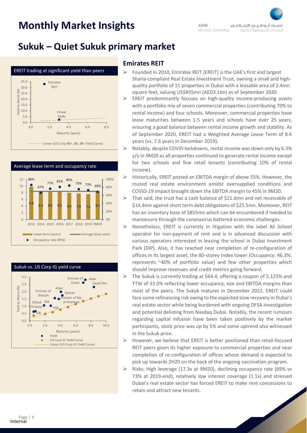### **Sukuk – Quiet Sukuk primary market**







### **Emirates REIT**

- ➢ Founded in 2010, Emirates REIT (EREIT) is the UAE's first and largest Sharia-compliant Real Estate Investment Trust, owning a small and highquality portfolio of 11 properties in Dubai with a leasable area of 2.4mn square feet, valuing US\$855mn (AED3.1bn) as of September 2020.
- ➢ EREIT predominantly focuses on high-quality income-producing assets with a portfolio mix of seven commercial properties (contributing 70% to rental income) and four schools. Moreover, commercial properties have lease maturities between 1-5 years and schools have over 25 years, ensuring a good balance between rental income growth and stability. As of September 2020, EREIT had a Weighted Average Lease Term of 8.4 years (vs. 7.6 years in December 2019).
- ➢ Notably, despite COVID lockdowns, rental income was down only by 6.3% y/y in 9M20 as all properties continued to generate rental income except for two schools and few retail tenants (contributing 10% of rental income).
- ➢ Historically, EREIT posted an EBITDA margin of above 55%. However, the muted real estate environment amidst oversupplied conditions and COVID-19 impact brought down the EBITDA margin to 45% in 9M20.
- ➢ That said, the trust has a cash balance of \$21.6mn and net receivable of \$14.4mn against short term debt obligations of \$25.5mn. Moreover, REIT has an inventory base of \$855mn which can be encumbered if needed to manoeuvre through the coronavirus battered economic challenges.
- ➢ Nonetheless, EREIT is currently in litigation with the Jabel Ali School operator for non-payment of rent and is in advanced discussion with various operators interested in leasing the school in Dubai Investment Park (DIP). Also, it has reached near completion of re-configuration of offices in its largest asset, the 80-storey Index tower (Occupancy: 46.3%; represents ~40% of portfolio value) and few other properties which should improve revenues and credit metrics going forward.
- $\triangleright$  The Sukuk is currently trading at \$64.4, offering a coupon of 5.125% and YTW of 33.0% reflecting lower occupancy, size and EBITDA margins than most of the peers. The Sukuk matures in December 2022. EREIT could face some refinancing risk owing to the expected slow recovery in Dubai's real estate sector while being burdened with ongoing DFSA investigation and potential delisting from Nasdaq Dubai. Notably, the recent rumours regarding capital infusion have been taken positively by the market participants, stock price was up by 5% and some uptrend also witnessed in the Sukuk price.
- ➢ However, we believe that EREIT is better positioned than retail-focused REIT peers given its higher exposure to commercial properties and near completion of re-configuration of offices whose demand is expected to pick up towards 2H20 on the back of the ongoing vaccination program.
- ➢ Risks: High leverage (17.3x at 9M20), declining occupancy rate (69% vs 73% at 2019-end), relatively low interest coverage (1.1x) and stressed Dubai's real estate sector has forced EREIT to make rent concessions to retain and attract new tenants.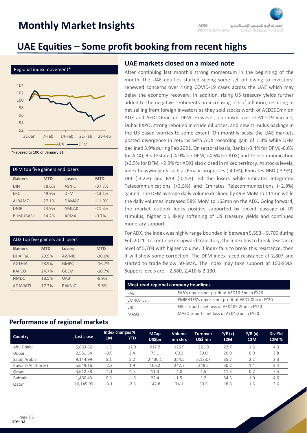### **UAE Equities – Some profit booking from recent highs**



\*Rebased to 100 on January 31

| DFM top five gainers and losers |            |               |            |  |  |
|---------------------------------|------------|---------------|------------|--|--|
| <b>Gainers</b>                  | <b>MTD</b> | <b>Losers</b> | <b>MTD</b> |  |  |
| <b>DIN</b>                      | 78.6%      | <b>ASNIC</b>  | $-37.7%$   |  |  |
| <b>ERC</b>                      | 49.9%      | <b>DFM</b>    | $-13.1%$   |  |  |
| <b>ALRAMZ</b>                   | 27.1%      | <b>DAMAC</b>  | $-11.9%$   |  |  |
| <b>DNIR</b>                     | 14.9%      | <b>AMLAK</b>  | $-11.3%$   |  |  |
| <b>BHMUBASH</b>                 | 14.2%      | <b>ARMX</b>   | $-9.7%$    |  |  |

| ADX top five gainers and losers |            |               |            |  |  |
|---------------------------------|------------|---------------|------------|--|--|
| <b>Gainers</b>                  | <b>MTD</b> | <b>Losers</b> | <b>MTD</b> |  |  |
| <b>DHAFRA</b>                   | 29.9%      | AWNIC         | $-30.0%$   |  |  |
| <b>AGTHIA</b>                   | 28.9%      | <b>GMPC</b>   | $-16.7%$   |  |  |
| <b>RAPCO</b>                    | 24.7%      | <b>GCEM</b>   | $-10.7%$   |  |  |
| <b>NMDC</b>                     | 18.5%      | <b>UAB</b>    | $-9.9%$    |  |  |
| <b>ADAVIATI</b>                 | 17.3%      | <b>RAKNIC</b> | $-9.6%$    |  |  |

#### **UAE markets closed on a mixed note**

After continuing last month's strong momentum in the beginning of the month, the UAE equities started seeing some sell-off owing to investors' renewed concerns over rising COVID-19 cases across the UAE which may delay the economy recovery. In addition, rising US treasury yields further added to the negative sentiments on increasing risk of inflation, resulting in net selling from foreign investors as they sold stocks worth of AED390mn on ADX and AED146mn on DFM. However, optimism over COVID-19 vaccine, Dubai EXPO, strong rebound in crude oil prices, and new stimulus package in the US eased worries to some extent. On monthly basis, the UAE markets posted divergence in returns with ADX recording gain of 1.3% while DFM declined 3.9% during Feb 2021. On sectoral basis, Banks (-3.4% for DFM, -0.6% for ADX), Real Estate (-4.9% for DFM, +4.6% for ADX) and Telecommunication (+3.5% for DFM, +2.9% for ADX) also closed in mixed territory. At stocks levels, index heavyweights such as Emaar properties (-4.0%), Emirates NBD (-3.9%), DIB (-3.2%) and FAB (-0.5%) led the losers while Emirates Integrated Telecommunications (+3.5%) and Emirates Telecommunications (+2.9%) gained. The DFM average daily volume declined by 49% MoM to 111mn while the daily volumes increased 58% MoM to 163mn on the ADX. Going forward, the market outlook looks positive supported by recent passage of US stimulus, higher oil, likely softening of US treasury yields and continued monetary support.

For ADX, the index was highly range bounded in between 5,593 – 5,700 during Feb 2021. To continue its upward trajectory, the index has to break resistance level of 5,703 with higher volume. If index fails to break this resistance, then it will show some correction. The DFM index faced resistance at 2,807 and started to trade below 50-SMA. The index may take support at 100-SMA. Support levels are – 2,580, 2,410 & 2,130.

| Most read regional company headlines |                                                   |  |  |  |  |
|--------------------------------------|---------------------------------------------------|--|--|--|--|
| FAB                                  | FAB's reports net profit of AED10.5bn in FY20     |  |  |  |  |
| <b>EMIRATES</b>                      | EMIRATES's reports net profit of AED7.0bn in FY20 |  |  |  |  |
| <b>FIB</b>                           | EIB's reports net loss of AED482.2mn in FY20      |  |  |  |  |
| <b>MASQ</b>                          | MASQ reports net loss of AED1.3bn in FY20         |  |  |  |  |
|                                      |                                                   |  |  |  |  |

### **Performance of regional markets**

|                     |            | Index changes % |            | <b>MCap</b>   | <b>Volume</b> | <b>Turnover</b> | P/E(x)     | P/B(x)     | <b>Div Yld</b> |
|---------------------|------------|-----------------|------------|---------------|---------------|-----------------|------------|------------|----------------|
| <b>Country</b>      | Last close | 1M              | <b>YTD</b> | <b>US\$bn</b> | mn shrs       | US\$ mn         | <b>12M</b> | <b>12M</b> | 12M %          |
| Abu Dhabi           | 5,663.62   | 1.3             | 12.3       | 217.2         | 125.9         | 221.0           | 22.7       | 1.5        | 4.3            |
| Dubai               | 2,551.54   | $-3.9$          | 2.4        | 75.1          | 69.2          | 39.0            | 20.9       | 0.9        | 3.8            |
| Saudi Arabia        | 9.144.99   | 5.1             | 5.2        | 2,430.1       | 354.5         | 3,123.7         | 35.7       | 2.2        | 2.3            |
| Kuwait (All shares) | 5,649.16   | $-2.3$          | 1.9        | 106.2         | 242.7         | 248.2           | 50.7       | 1.4        | 3.4            |
| Oman                | 3.612.38   | $-1.1$          | $-1.3$     | 11.3          | 4.0           | 1.5             | 11.3       | 0.7        | 7.5            |
| Bahrain             | 1.466.43   | 0.3             | $-1.6$     | 22.4          | 1.5           | 1.2             | 34.3       | 1.0        | 4.6            |
| Qatar               | 10.145.99  | $-3.1$          | $-2.8$     | 142.8         | 74.1          | 50.3            | 18.8       | 1.5        | 3.6            |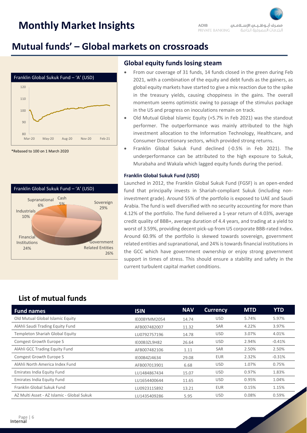### **Mutual funds' – Global markets on crossroads**



\*Rebased to 100 on 1 March 2020



#### **Global equity funds losing steam**

- From our coverage of 31 funds, 14 funds closed in the green during Feb 2021, with a combination of the equity and debt funds as the gainers, as global equity markets have started to give a mix reaction due to the spike in the treasury yields, causing choppiness in the gains. The overall momentum seems optimistic owing to passage of the stimulus package in the US and progress on inoculations remain on track.
- Old Mutual Global Islamic Equity (+5.7% in Feb 2021) was the standout performer. The outperformance was mainly attributed to the high investment allocation to the Information Technology, Healthcare, and Consumer Discretionary sectors, which provided strong returns.
- Franklin Global Sukuk Fund declined (-0.5% in Feb 2021). The underperformance can be attributed to the high exposure to Sukuk, Murabaha and Wakala which lagged equity funds during the period.

#### **Franklin Global Sukuk Fund (USD)**

Launched in 2012, the Franklin Global Sukuk Fund (FGSF) is an open-ended fund that principally invests in Shariah-compliant Sukuk (including noninvestment grade). Around 55% of the portfolio is exposed to UAE and Saudi Arabia. The fund is well diversified with no security accounting for more than 4.12% of the portfolio. The fund delivered a 1-year return of 4.03%, average credit quality of BBB+, average duration of 4.4 years, and trading at a yield to worst of 3.59%, providing decent pick-up from US corporate BBB-rated Index. Around 60.9% of the portfolio is skewed towards sovereign, government related entities and supranational, and 24% is towards financial institutions in the GCC which have government ownership or enjoy strong government support in times of stress. This should ensure a stability and safety in the current turbulent capital market conditions.

### **List of mutual funds**

| <b>Fund names</b>                          | <b>ISIN</b>  | <b>NAV</b> | <b>Currency</b> | <b>MTD</b> | <b>YTD</b> |
|--------------------------------------------|--------------|------------|-----------------|------------|------------|
| Old Mutual Global Islamic Equity           | IE00BYMM2054 | 14.74      | <b>USD</b>      | 5.74%      | 5.97%      |
| AlAhli Saudi Trading Equity Fund           | AFB007482007 | 11.32      | <b>SAR</b>      | 4.22%      | 3.97%      |
| Templeton Shariah Global Equity            | LU0792757196 | 14.78      | <b>USD</b>      | 3.07%      | 4.01%      |
| <b>Comgest Growth Europe S</b>             | IE00B3ZL9H82 | 26.64      | <b>USD</b>      | 2.94%      | $-0.41%$   |
| AlAhli GCC Trading Equity Fund             | AFB007482106 | 1.11       | <b>SAR</b>      | 2.50%      | 2.50%      |
| <b>Comgest Growth Europe S</b>             | IE00B4ZJ4634 | 29.08      | EUR             | 2.32%      | $-0.31%$   |
| AlAhli North America Index Fund            | AFB007013901 | 6.68       | <b>USD</b>      | 1.07%      | 0.75%      |
| Emirates India Equity Fund                 | LU1484867434 | 15.07      | <b>USD</b>      | 0.97%      | 1.83%      |
| Emirates India Equity Fund                 | LU1654400644 | 11.65      | <b>USD</b>      | 0.95%      | 1.04%      |
| Franklin Global Sukuk Fund                 | LU0923115892 | 13.21      | <b>EUR</b>      | 0.15%      | 1.15%      |
| AZ Multi Asset - AZ Islamic - Global Sukuk | LU1435409286 | 5.95       | <b>USD</b>      | 0.08%      | 0.59%      |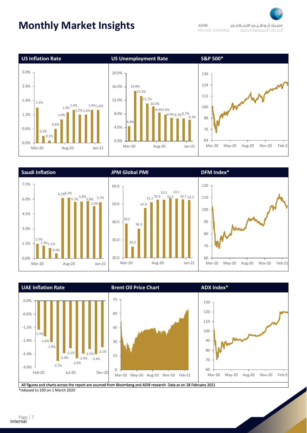









All figures and charts across the report are sourced from Bloomberg and ADIB research. Data as on 28 February 2021 \*rebased to 100 on 1 March 2020